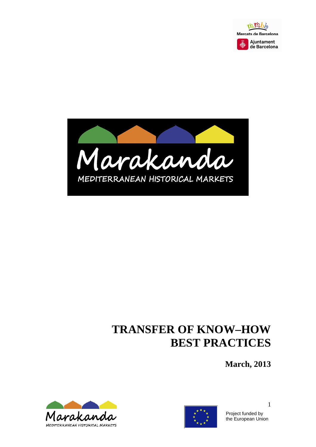



# **TRANSFER OF KNOW–HOW BEST PRACTICES**

**March, 2013** 





Project funded by the European Union

1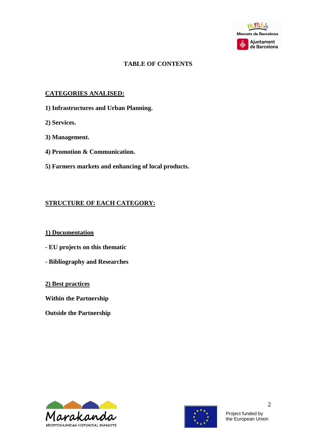

# **TABLE OF CONTENTS**

#### **CATEGORIES ANALISED:**

- **1) Infrastructures and Urban Planning.**
- **2) Services.**
- **3) Management.**
- **4) Promotion & Communication.**
- **5) Farmers markets and enhancing of local products.**

### **STRUCTURE OF EACH CATEGORY:**

#### **1) Documentation**

- **EU projects on this thematic**
- **Bibliography and Researches**
- **2) Best practices**
- **Within the Partnership**

**Outside the Partnership** 



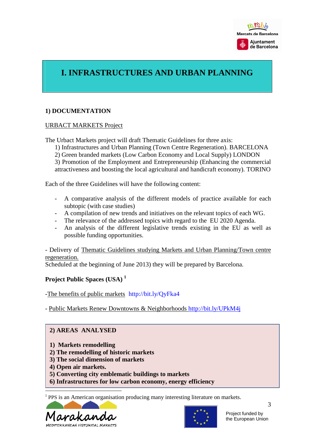

# **I. INFRASTRUCTURES AND URBAN PLANNING**

#### **1) DOCUMENTATION**

#### URBACT MARKETS Project

The Urbact Markets project will draft Thematic Guidelines for three axis:

1) Infrastructures and Urban Planning (Town Centre Regeneration). BARCELONA

2) Green branded markets (Low Carbon Economy and Local Supply) LONDON

3) Promotion of the Employment and Entrepreneurship (Enhancing the commercial attractiveness and boosting the local agricultural and handicraft economy). TORINO

Each of the three Guidelines will have the following content:

- A comparative analysis of the different models of practice available for each subtopic (with case studies)
- A compilation of new trends and initiatives on the relevant topics of each WG.
- The relevance of the addressed topics with regard to the EU 2020 Agenda.
- An analysis of the different legislative trends existing in the EU as well as possible funding opportunities.

- Delivery of Thematic Guidelines studying Markets and Urban Planning/Town centre regeneration.

Scheduled at the beginning of June 2013) they will be prepared by Barcelona.

#### **Project Public Spaces (USA) <sup>1</sup>**

-The benefits of public markets http://bit.ly/QyFka4

- Public Markets Renew Downtowns & Neighborhoods http://bit.ly/UPkM4j

#### **2) AREAS ANALYSED**

- **1) Markets remodelling**
- **2) The remodelling of historic markets**
- **3) The social dimension of markets**
- **4) Open air markets.**

Ī

- **5) Converting city emblematic buildings to markets**
- **6) Infrastructures for low carbon economy, energy efficiency**

1 PPS is an American organisation producing many interesting literature on markets.



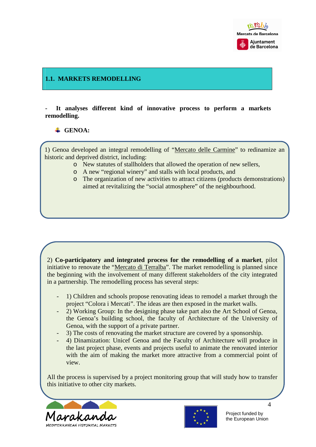

### **1.1. MARKETS REMODELLING**

**- It analyses different kind of innovative process to perform a markets remodelling.** 

### **GENOA:**

1) Genoa developed an integral remodelling of "Mercato delle Carmine" to redinamize an historic and deprived district, including:

- o New statutes of stallholders that allowed the operation of new sellers,
- o A new "regional winery" and stalls with local products, and
- o The organization of new activities to attract citizens (products demonstrations) aimed at revitalizing the "social atmosphere" of the neighbourhood.

2) **Co-participatory and integrated process for the remodelling of a market**, pilot initiative to renovate the "Mercato di Terralba". The market remodelling is planned since the beginning with the involvement of many different stakeholders of the city integrated in a partnership. The remodelling process has several steps:

- 1) Children and schools propose renovating ideas to remodel a market through the project "Colora i Mercati". The ideas are then exposed in the market walls.
- 2) Working Group: In the designing phase take part also the Art School of Genoa, the Genoa's building school, the faculty of Architecture of the University of Genoa, with the support of a private partner.
- 3) The costs of renovating the market structure are covered by a sponsorship.
- 4) Dinamization: Unicef Genoa and the Faculty of Architecture will produce in the last project phase, events and projects useful to animate the renovated interior with the aim of making the market more attractive from a commercial point of view.

All the process is supervised by a project monitoring group that will study how to transfer this initiative to other city markets.



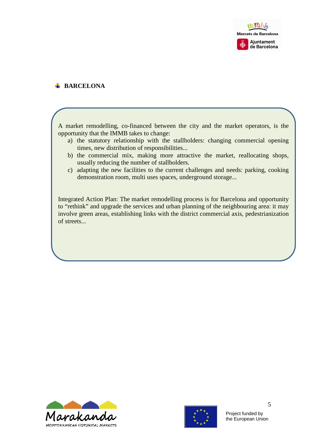

#### **BARCELONA**

A market remodelling, co-financed between the city and the market operators, is the opportunity that the IMMB takes to change:

- a) the statutory relationship with the stallholders: changing commercial opening times, new distribution of responsibilities...
- b) the commercial mix, making more attractive the market, reallocating shops, usually reducing the number of stallholders.
- c) adapting the new facilities to the current challenges and needs: parking, cooking demonstration room, multi uses spaces, underground storage...

Integrated Action Plan: The market remodelling process is for Barcelona and opportunity to "rethink" and upgrade the services and urban planning of the neighbouring area: it may involve green areas, establishing links with the district commercial axis, pedestrianization of streets...



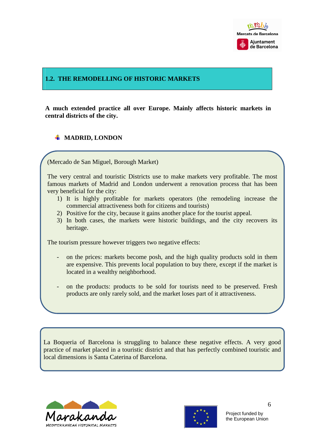

#### **1.2. THE REMODELLING OF HISTORIC MARKETS**

**A much extended practice all over Europe. Mainly affects historic markets in central districts of the city.** 

### **MADRID, LONDON**

(Mercado de San Miguel, Borough Market)

The very central and touristic Districts use to make markets very profitable. The most famous markets of Madrid and London underwent a renovation process that has been very beneficial for the city:

- 1) It is highly profitable for markets operators (the remodeling increase the commercial attractiveness both for citizens and tourists)
- 2) Positive for the city, because it gains another place for the tourist appeal.
- 3) In both cases, the markets were historic buildings, and the city recovers its heritage.

The tourism pressure however triggers two negative effects:

- on the prices: markets become posh, and the high quality products sold in them are expensive. This prevents local population to buy there, except if the market is located in a wealthy neighborhood.
- on the products: products to be sold for tourists need to be preserved. Fresh products are only rarely sold, and the market loses part of it attractiveness.

La Boqueria of Barcelona is struggling to balance these negative effects. A very good practice of market placed in a touristic district and that has perfectly combined touristic and local dimensions is Santa Caterina of Barcelona.



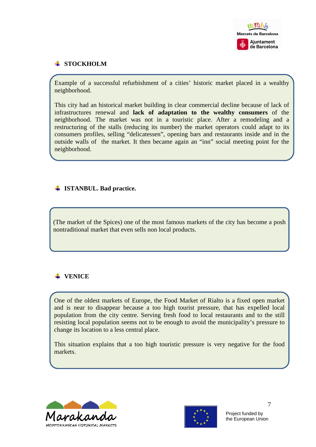

# **STOCKHOLM**

Example of a successful refurbishment of a cities' historic market placed in a wealthy neighborhood.

This city had an historical market building in clear commercial decline because of lack of infrastructures renewal and **lack of adaptation to the wealthy consumers** of the neighborhood. The market was not in a touristic place. After a remodeling and a restructuring of the stalls (reducing its number) the market operators could adapt to its consumers profiles, selling "delicatessen", opening bars and restaurants inside and in the outside walls of the market. It then became again an "inn" social meeting point for the neighborhood.

# **ISTANBUL. Bad practice.**

(The market of the Spices) one of the most famous markets of the city has become a posh nontraditional market that even sells non local products.

# **VENICE**

One of the oldest markets of Europe, the Food Market of Rialto is a fixed open market and is near to disappear because a too high tourist pressure, that has expelled local population from the city centre. Serving fresh food to local restaurants and to the still resisting local population seems not to be enough to avoid the municipality's pressure to change its location to a less central place.

This situation explains that a too high touristic pressure is very negative for the food markets.



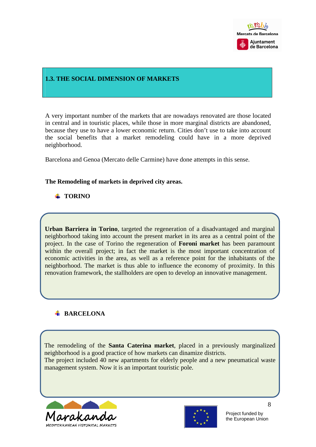

#### **1.3. THE SOCIAL DIMENSION OF MARKETS**

A very important number of the markets that are nowadays renovated are those located in central and in touristic places, while those in more marginal districts are abandoned, because they use to have a lower economic return. Cities don't use to take into account the social benefits that a market remodeling could have in a more deprived neighborhood.

Barcelona and Genoa (Mercato delle Carmine) have done attempts in this sense.

#### **The Remodeling of markets in deprived city areas.**

# **TORINO**

**Urban Barriera in Torino**, targeted the regeneration of a disadvantaged and marginal neighborhood taking into account the present market in its area as a central point of the project. In the case of Torino the regeneration of **Foroni market** has been paramount within the overall project; in fact the market is the most important concentration of economic activities in the area, as well as a reference point for the inhabitants of the neighborhood. The market is thus able to influence the economy of proximity. In this renovation framework, the stallholders are open to develop an innovative management.

#### **BARCELONA**

The remodeling of the **Santa Caterina market**, placed in a previously marginalized neighborhood is a good practice of how markets can dinamize districts. The project included 40 new apartments for elderly people and a new pneumatical waste management system. Now it is an important touristic pole.



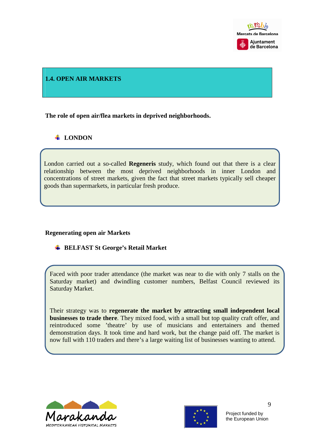

#### **1.4. OPEN AIR MARKETS**

**The role of open air/flea markets in deprived neighborhoods.** 

# **LONDON**

London carried out a so-called **Regeneris** study, which found out that there is a clear relationship between the most deprived neighborhoods in inner London and concentrations of street markets, given the fact that street markets typically sell cheaper goods than supermarkets, in particular fresh produce.

#### **Regenerating open air Markets**

**EXECUTE:** BELFAST St George's Retail Market

Faced with poor trader attendance (the market was near to die with only 7 stalls on the Saturday market) and dwindling customer numbers, Belfast Council reviewed its Saturday Market.

Their strategy was to **regenerate the market by attracting small independent local businesses to trade there**. They mixed food, with a small but top quality craft offer, and reintroduced some 'theatre' by use of musicians and entertainers and themed demonstration days. It took time and hard work, but the change paid off. The market is now full with 110 traders and there's a large waiting list of businesses wanting to attend.



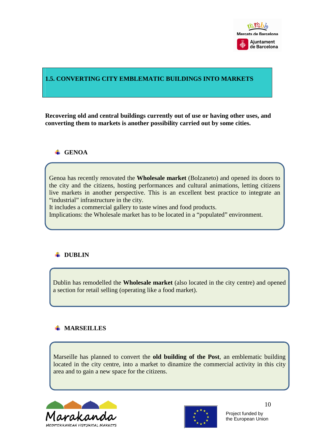

#### **1.5. CONVERTING CITY EMBLEMATIC BUILDINGS INTO MARKETS**

**Recovering old and central buildings currently out of use or having other uses, and converting them to markets is another possibility carried out by some cities.** 

#### **GENOA**

Genoa has recently renovated the **Wholesale market** (Bolzaneto) and opened its doors to the city and the citizens, hosting performances and cultural animations, letting citizens live markets in another perspective. This is an excellent best practice to integrate an "industrial" infrastructure in the city.

It includes a commercial gallery to taste wines and food products.

Implications: the Wholesale market has to be located in a "populated" environment.

### **+** DUBLIN

Dublin has remodelled the **Wholesale market** (also located in the city centre) and opened a section for retail selling (operating like a food market).

#### **MARSEILLES**

Marseille has planned to convert the **old building of the Post**, an emblematic building located in the city centre, into a market to dinamize the commercial activity in this city area and to gain a new space for the citizens.



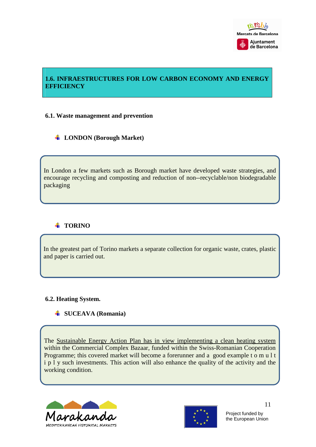

# **1.6. INFRAESTRUCTURES FOR LOW CARBON ECONOMY AND ENERGY EFFICIENCY**

#### **6.1. Waste management and prevention**

### **LONDON (Borough Market)**

In London a few markets such as Borough market have developed waste strategies, and encourage recycling and composting and reduction of non--recyclable/non biodegradable packaging

# **TORINO**

In the greatest part of Torino markets a separate collection for organic waste, crates, plastic and paper is carried out.

#### **6.2. Heating System.**

#### **SUCEAVA (Romania)**

The Sustainable Energy Action Plan has in view implementing a clean heating system within the Commercial Complex Bazaar, funded within the Swiss-Romanian Cooperation Programme; this covered market will become a forerunner and a good example t o m u l t i p l y such investments. This action will also enhance the quality of the activity and the working condition.



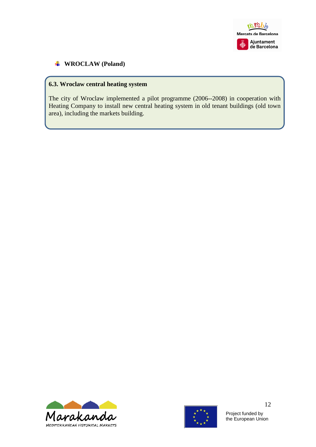

# **WROCLAW (Poland)**

# **6.3. Wroclaw central heating system**

The city of Wroclaw implemented a pilot programme (2006--2008) in cooperation with Heating Company to install new central heating system in old tenant buildings (old town area), including the markets building.





Project funded by the European Union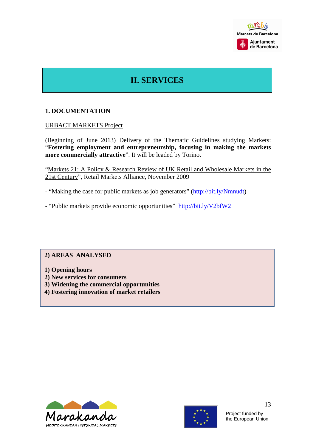

# **II. SERVICES**

#### **1. DOCUMENTATION**

URBACT MARKETS Project

(Beginning of June 2013) Delivery of the Thematic Guidelines studying Markets: "**Fostering employment and entrepreneurship, focusing in making the markets more commercially attractive**". It will be leaded by Torino.

"Markets 21: A Policy & Research Review of UK Retail and Wholesale Markets in the 21st Century", Retail Markets Alliance, November 2009

- "Making the case for public markets as job generators" (http://bit.ly/Nmnudt)

- "Public markets provide economic opportunities" http://bit.ly/V2bfW2

#### **2) AREAS ANALYSED**

- **1) Opening hours**
- **2) New services for consumers**
- **3) Widening the commercial opportunities**
- **4) Fostering innovation of market retailers**



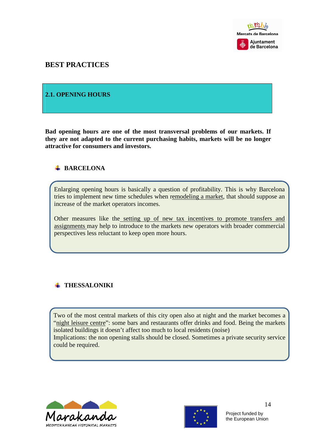

# **BEST PRACTICES**

#### **2.1. OPENING HOURS**

**Bad opening hours are one of the most transversal problems of our markets. If they are not adapted to the current purchasing habits, markets will be no longer attractive for consumers and investors.** 

#### **BARCELONA**

Enlarging opening hours is basically a question of profitability. This is why Barcelona tries to implement new time schedules when remodeling a market, that should suppose an increase of the market operators incomes.

Other measures like the setting up of new tax incentives to promote transfers and assignments may help to introduce to the markets new operators with broader commercial perspectives less reluctant to keep open more hours.

### **THESSALONIKI**

Two of the most central markets of this city open also at night and the market becomes a "night leisure centre": some bars and restaurants offer drinks and food. Being the markets isolated buildings it doesn't affect too much to local residents (noise) Implications: the non opening stalls should be closed. Sometimes a private security service could be required.



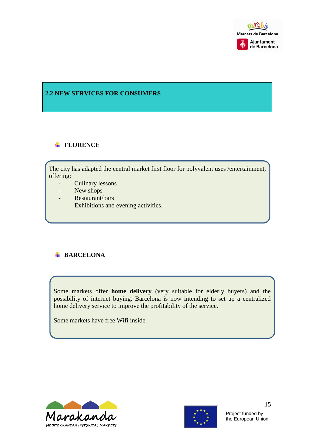

# **2.2 NEW SERVICES FOR CONSUMERS**

#### **FLORENCE**

The city has adapted the central market first floor for polyvalent uses /entertainment, offering:

- Culinary lessons
- New shops
- Restaurant/bars
- Exhibitions and evening activities.

# **BARCELONA**

Some markets offer **home delivery** (very suitable for elderly buyers) and the possibility of internet buying. Barcelona is now intending to set up a centralized home delivery service to improve the profitability of the service.

Some markets have free Wifi inside.



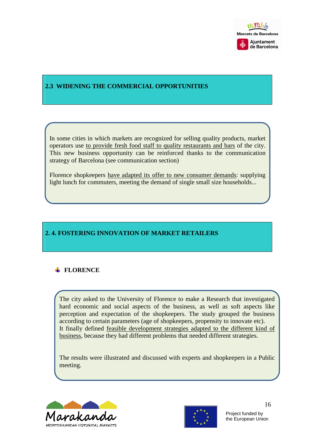

# **2.3 WIDENING THE COMMERCIAL OPPORTUNITIES**

In some cities in which markets are recognized for selling quality products, market operators use to provide fresh food staff to quality restaurants and bars of the city. This new business opportunity can be reinforced thanks to the communication strategy of Barcelona (see communication section)

Florence shopkeepers have adapted its offer to new consumer demands: supplying light lunch for commuters, meeting the demand of single small size households...

# **2. 4. FOSTERING INNOVATION OF MARKET RETAILERS**

# **FLORENCE**

The city asked to the University of Florence to make a Research that investigated hard economic and social aspects of the business, as well as soft aspects like perception and expectation of the shopkeepers. The study grouped the business according to certain parameters (age of shopkeepers, propensity to innovate etc). It finally defined feasible development strategies adapted to the different kind of business, because they had different problems that needed different strategies.

The results were illustrated and discussed with experts and shopkeepers in a Public meeting.



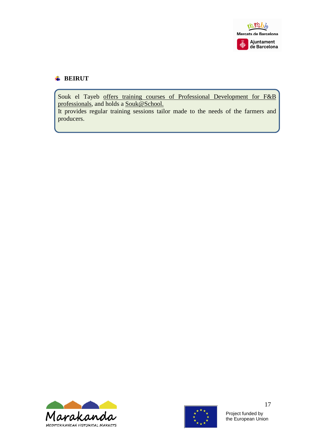

#### **BEIRUT**

Souk el Tayeb offers training courses of Professional Development for F&B professionals, and holds a Souk@School.

It provides regular training sessions tailor made to the needs of the farmers and producers.



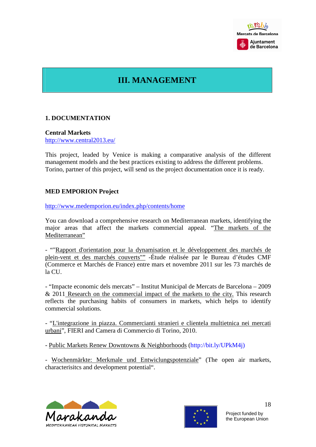

# **III. MANAGEMENT**

#### **1. DOCUMENTATION**

**Central Markets**  http://www.central2013.eu/

This project, leaded by Venice is making a comparative analysis of the different management models and the best practices existing to address the different problems. Torino, partner of this project, will send us the project documentation once it is ready.

#### **MED EMPORION Project**

http://www.medemporion.eu/index.php/contents/home

You can download a comprehensive research on Mediterranean markets, identifying the major areas that affect the markets commercial appeal. "The markets of the Mediterranean"

- ""Rapport d'orientation pour la dynamisation et le développement des marchés de plein-vent et des marchés couverts"" -Étude réalisée par le Bureau d'études CMF (Commerce et Marchés de France) entre mars et novembre 2011 sur les 73 marchés de la CU.

- "Impacte economic dels mercats" – Institut Municipal de Mercats de Barcelona – 2009 & 2011 Research on the commercial impact of the markets to the city. This research reflects the purchasing habits of consumers in markets, which helps to identify commercial solutions.

- "L'integrazione in piazza. Commercianti stranieri e clientela multietnica nei mercati urbani", FIERI and Camera di Commercio di Torino, 2010.

- Public Markets Renew Downtowns & Neighborhoods (http://bit.ly/UPkM4j)

- Wochenmärkte: Merkmale und Entwiclungspotenziale" (The open air markets, characterisitcs and development potential".



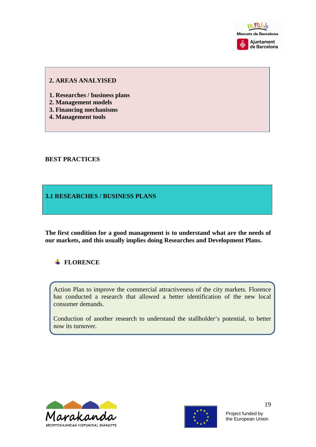

#### **2. AREAS ANALYISED**

- **1. Researches / business plans**
- **2. Management models**
- **3. Financing mechanisms**
- **4. Management tools**

#### **BEST PRACTICES**

#### **3.1 RESEARCHES / BUSINESS PLANS**

**The first condition for a good management is to understand what are the needs of our markets, and this usually implies doing Researches and Development Plans.** 

### **FLORENCE**

Action Plan to improve the commercial attractiveness of the city markets. Florence has conducted a research that allowed a better identification of the new local consumer demands.

Conduction of another research to understand the stallholder's potential, to better now its turnover.



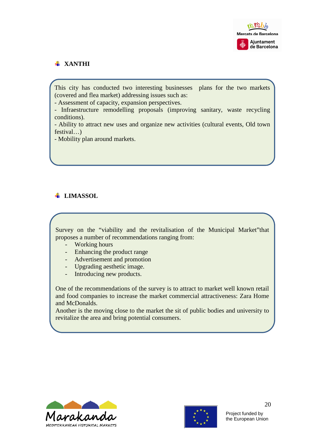

# **XANTHI**

This city has conducted two interesting businesses plans for the two markets (covered and flea market) addressing issues such as:

- Assessment of capacity, expansion perspectives.

- Infraestructure remodelling proposals (improving sanitary, waste recycling conditions).

- Ability to attract new uses and organize new activities (cultural events, Old town festival…)

- Mobility plan around markets.

# **LIMASSOL**

Survey on the "viability and the revitalisation of the Municipal Market"that proposes a number of recommendations ranging from:

- Working hours
- Enhancing the product range
- Advertisement and promotion
- Upgrading aesthetic image.
- Introducing new products.

One of the recommendations of the survey is to attract to market well known retail and food companies to increase the market commercial attractiveness: Zara Home and McDonalds.

Another is the moving close to the market the sit of public bodies and university to revitalize the area and bring potential consumers.



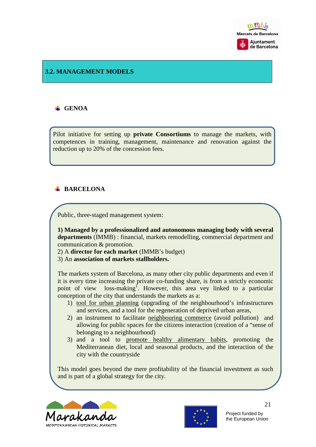

# **3.2. MANAGEMENT MODELS**

#### **GENOA**

Pilot initiative for setting up **private Consortiums** to manage the markets, with competences in training, management, maintenance and renovation against the reduction up to 20% of the concession fees.

#### **BARCELONA**

Public, three-staged management system:

**1) Managed by a professionalized and autonomous managing body with several departments** (IMMB) : financial, markets remodelling, commercial department and communication & promotion.

2) A **director for each market** (IMMB's budget)

3) An **association of markets stallholders.**

The markets system of Barcelona, as many other city public departments and even if it is every time increasing the private co-funding share, is from a strictly economic point of view loss-making<sup>1</sup>. However, this area vey linked to a particular conception of the city that understands the markets as a:

- 1) tool for urban planning (upgrading of the neighbourhood's infrastructures and services, and a tool for the regeneration of deprived urban areas,
- 2) an instrument to facilitate neighbouring commerce (avoid pollution) and allowing for public spaces for the citizens interaction (creation of a "sense of belonging to a neighbourhood)
- 3) and a tool to promote healthy alimentary habits, promoting the Mediterranean diet, local and seasonal products, and the interaction of the city with the countryside

This model goes beyond the mere profitability of the financial investment as such and is part of a global strategy for the city.



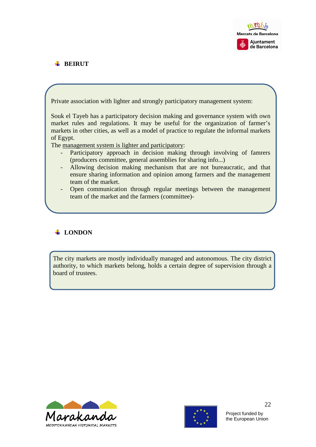

# **BEIRUT**

Private association with lighter and strongly participatory management system:

Souk el Tayeb has a participatory decision making and governance system with own market rules and regulations. It may be useful for the organization of farmer's markets in other cities, as well as a model of practice to regulate the informal markets of Egypt.

The management system is lighter and participatory:

- Participatory approach in decision making through involving of famrers (producers committee, general assemblies for sharing info...)
- Allowing decision making mechanism that are not bureaucratic, and that ensure sharing information and opinion among farmers and the management team of the market.
- Open communication through regular meetings between the management team of the market and the farmers (committee)-

# **LONDON**

The city markets are mostly individually managed and autonomous. The city district authority, to which markets belong, holds a certain degree of supervision through a board of trustees.



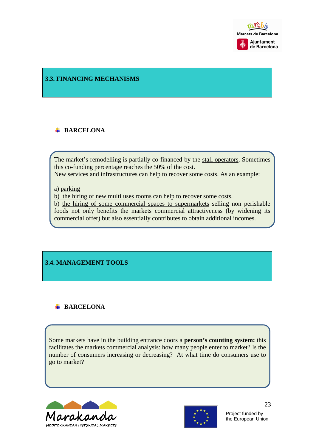

#### **3.3. FINANCING MECHANISMS**

# **BARCELONA**

The market's remodelling is partially co-financed by the stall operators. Sometimes this co-funding percentage reaches the 50% of the cost.

New services and infrastructures can help to recover some costs. As an example:

#### a) parking

b) the hiring of new multi uses rooms can help to recover some costs.

b) the hiring of some commercial spaces to supermarkets selling non perishable foods not only benefits the markets commercial attractiveness (by widening its commercial offer) but also essentially contributes to obtain additional incomes.

# **3.4. MANAGEMENT TOOLS**

### **BARCELONA**

Some markets have in the building entrance doors a **person's counting system:** this facilitates the markets commercial analysis: how many people enter to market? Is the number of consumers increasing or decreasing? At what time do consumers use to go to market?



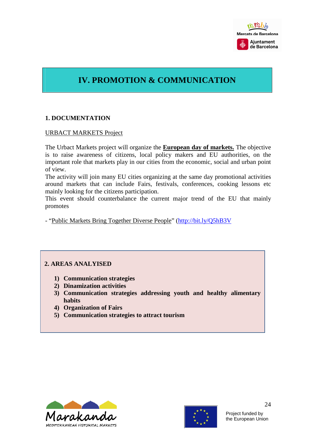

# **IV. PROMOTION & COMMUNICATION**

### **1. DOCUMENTATION**

#### URBACT MARKETS Project

The Urbact Markets project will organize the **European day of markets.** The objective is to raise awareness of citizens, local policy makers and EU authorities, on the important role that markets play in our cities from the economic, social and urban point of view.

The activity will join many EU cities organizing at the same day promotional activities around markets that can include Fairs, festivals, conferences, cooking lessons etc mainly looking for the citizens participation.

This event should counterbalance the current major trend of the EU that mainly promotes

- "Public Markets Bring Together Diverse People" (http://bit.ly/Q5hB3V

# **2. AREAS ANALYISED**

- **1) Communication strategies**
- **2) Dinamization activities**
- **3) Communication strategies addressing youth and healthy alimentary habits**
- **4) Organization of Fairs**
- **5) Communication strategies to attract tourism**



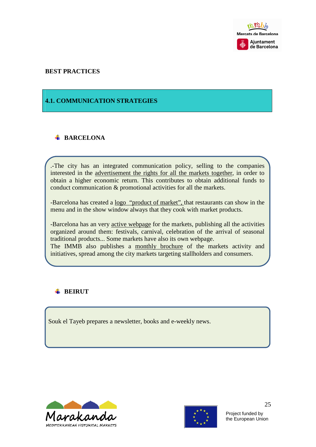

#### **BEST PRACTICES**

#### **4.1. COMMUNICATION STRATEGIES**

# **BARCELONA**

.-The city has an integrated communication policy, selling to the companies interested in the advertisement the rights for all the markets together, in order to obtain a higher economic return. This contributes to obtain additional funds to conduct communication & promotional activities for all the markets.

-Barcelona has created a logo "product of market", that restaurants can show in the menu and in the show window always that they cook with market products.

-Barcelona has an very active webpage for the markets, publishing all the activities organized around them: festivals, carnival, celebration of the arrival of seasonal traditional products... Some markets have also its own webpage.

The IMMB also publishes a monthly brochure of the markets activity and initiatives, spread among the city markets targeting stallholders and consumers.

# **BEIRUT**

Souk el Tayeb prepares a newsletter, books and e-weekly news.



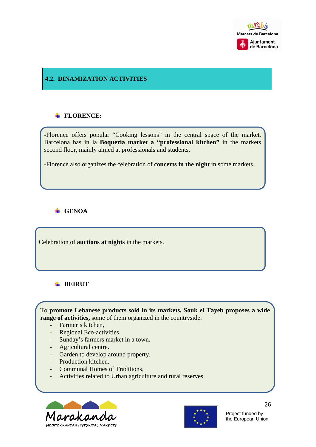

# **4.2. DINAMIZATION ACTIVITIES**

# **FLORENCE:**

-Florence offers popular "Cooking lessons" in the central space of the market. Barcelona has in la **Boqueria market a "professional kitchen"** in the markets second floor, mainly aimed at professionals and students.

-Florence also organizes the celebration of **concerts in the night** in some markets.

# **GENOA**

Celebration of **auctions at nights** in the markets.

### **BEIRUT**

To **promote Lebanese products sold in its markets, Souk el Tayeb proposes a wide range of activities,** some of them organized in the countryside:

- Farmer's kitchen,
- Regional Eco-activities.
- Sunday's farmers market in a town.
- Agricultural centre.
- Garden to develop around property.
- Production kitchen.
- Communal Homes of Traditions,
- Activities related to Urban agriculture and rural reserves.





Project funded by the European Union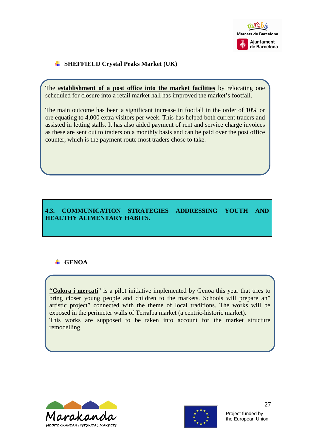

# **SHEFFIELD Crystal Peaks Market (UK)**

The **establishment of a post office into the market facilities** by relocating one scheduled for closure into a retail market hall has improved the market's footfall.

The main outcome has been a significant increase in footfall in the order of 10% or ore equating to 4,000 extra visitors per week. This has helped both current traders and assisted in letting stalls. It has also aided payment of rent and service charge invoices as these are sent out to traders on a monthly basis and can be paid over the post office counter, which is the payment route most traders chose to take.

# **4.3. COMMUNICATION STRATEGIES ADDRESSING YOUTH AND HEALTHY ALIMENTARY HABITS.**

# **GENOA**

**"Colora i mercati**" is a pilot initiative implemented by Genoa this year that tries to bring closer young people and children to the markets. Schools will prepare an" artistic project" connected with the theme of local traditions. The works will be exposed in the perimeter walls of Terralba market (a centric-historic market). This works are supposed to be taken into account for the market structure remodelling.



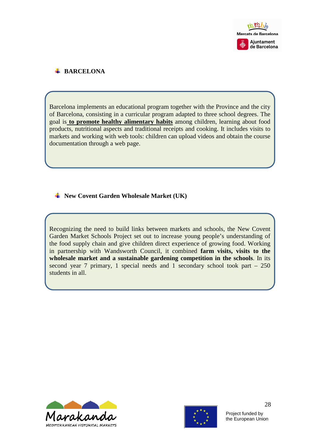

# **BARCELONA**

Barcelona implements an educational program together with the Province and the city of Barcelona, consisting in a curricular program adapted to three school degrees. The goal is **to promote healthy alimentary habits** among children, learning about food products, nutritional aspects and traditional receipts and cooking. It includes visits to markets and working with web tools: children can upload videos and obtain the course documentation through a web page.

### **New Covent Garden Wholesale Market (UK)**

Recognizing the need to build links between markets and schools, the New Covent Garden Market Schools Project set out to increase young people's understanding of the food supply chain and give children direct experience of growing food. Working in partnership with Wandsworth Council, it combined **farm visits, visits to the wholesale market and a sustainable gardening competition in the schools**. In its second year 7 primary, 1 special needs and 1 secondary school took part – 250 students in all.



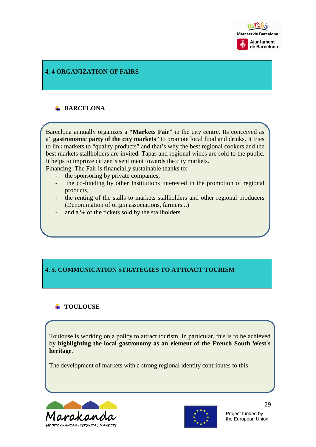

#### **4. 4 ORGANIZATION OF FAIRS**

# **E** BARCELONA

Barcelona annually organizes a **"Markets Fair**" in the city centre. Its conceived as a" **gastronomic party of the city markets**" to promote local food and drinks. It tries to link markets to "quality products" and that's why the best regional cookers and the best markets stallholders are invited. Tapas and regional wines are sold to the public. It helps to improve citizen's sentiment towards the city markets.

Financing: The Fair is financially sustainable thanks to:

- the sponsoring by private companies,
- the co-funding by other Institutions interested in the promotion of regional products,
- the renting of the stalls to markets stallholders and other regional producers (Denomination of origin associations, farmers...)
- and a % of the tickets sold by the stallholders.

### **4. 5. COMMUNICATION STRATEGIES TO ATTRACT TOURISM**

#### **TOULOUSE**

Toulouse is working on a policy to attract tourism. In particular, this is to be achieved by **highlighting the local gastronomy as an element of the French South West's heritage**.

The development of markets with a strong regional identity contributes to this.



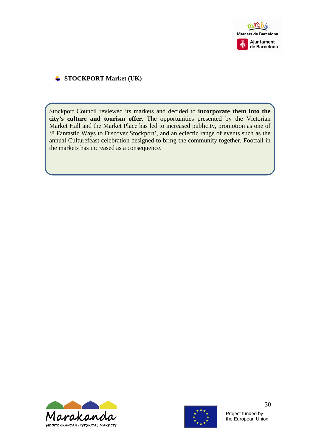

#### **STOCKPORT Market (UK)**

Stockport Council reviewed its markets and decided to **incorporate them into the city's culture and tourism offer.** The opportunities presented by the Victorian Market Hall and the Market Place has led to increased publicity, promotion as one of '8 Fantastic Ways to Discover Stockport', and an eclectic range of events such as the annual Culturefeast celebration designed to bring the community together. Footfall in the markets has increased as a consequence.





Project funded by the European Union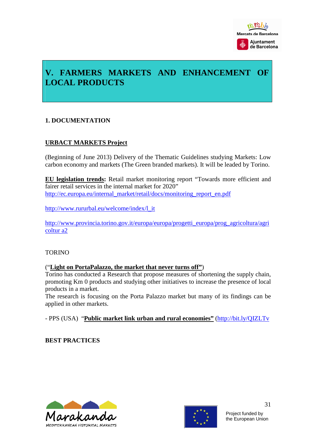

# **V. FARMERS MARKETS AND ENHANCEMENT OF LOCAL PRODUCTS**

### **1. DOCUMENTATION**

### **URBACT MARKETS Project**

(Beginning of June 2013) Delivery of the Thematic Guidelines studying Markets: Low carbon economy and markets (The Green branded markets). It will be leaded by Torino.

**EU legislation trends:** Retail market monitoring report "Towards more efficient and fairer retail services in the internal market for 2020" http://ec.europa.eu/internal\_market/retail/docs/monitoring\_report\_en.pdf

http://www.rururbal.eu/welcome/index/l\_it

http://www.provincia.torino.gov.it/europa/europa/progetti\_europa/prog\_agricoltura/agri coltur a2

#### TORINO

#### ("**Light on PortaPalazzo, the market that never turns off"**)

Torino has conducted a Research that propose measures of shortening the supply chain, promoting Km 0 products and studying other initiatives to increase the presence of local products in a market.

The research is focusing on the Porta Palazzo market but many of its findings can be applied in other markets.

- PPS (USA) "**Public market link urban and rural economies"** (http://bit.ly/QIZLTv

**BEST PRACTICES** 



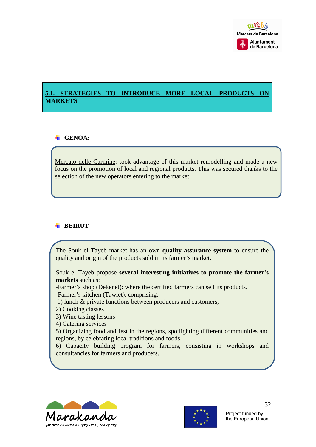

# **5.1. STRATEGIES TO INTRODUCE MORE LOCAL PRODUCTS ON MARKETS**

# **GENOA**:

Mercato delle Carmine: took advantage of this market remodelling and made a new focus on the promotion of local and regional products. This was secured thanks to the selection of the new operators entering to the market.

# **BEIRUT**

The Souk el Tayeb market has an own **quality assurance system** to ensure the quality and origin of the products sold in its farmer's market.

Souk el Tayeb propose **several interesting initiatives to promote the farmer's markets** such as:

- -Farmer's shop (Dekenet): where the certified farmers can sell its products.
- -Farmer's kitchen (Tawlet), comprising:
- 1) lunch & private functions between producers and customers,
- 2) Cooking classes
- 3) Wine tasting lessons

4) Catering services

5) Organizing food and fest in the regions, spotlighting different communities and regions, by celebrating local traditions and foods.

6) Capacity building program for farmers, consisting in workshops and consultancies for farmers and producers.



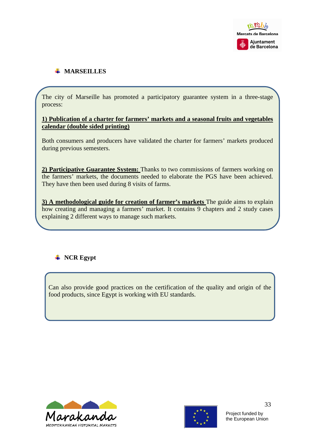

# **WARSEILLES**

The city of Marseille has promoted a participatory guarantee system in a three-stage process:

#### **1) Publication of a charter for farmers' markets and a seasonal fruits and vegetables calendar (double sided printing)**

Both consumers and producers have validated the charter for farmers' markets produced during previous semesters.

**2) Participative Guarantee System:** Thanks to two commissions of farmers working on the farmers' markets, the documents needed to elaborate the PGS have been achieved. They have then been used during 8 visits of farms.

**3) A methodological guide for creation of farmer's markets** The guide aims to explain how creating and managing a farmers' market. It contains 9 chapters and 2 study cases explaining 2 different ways to manage such markets.

# $\blacksquare$  NCR Egypt

Can also provide good practices on the certification of the quality and origin of the food products, since Egypt is working with EU standards.



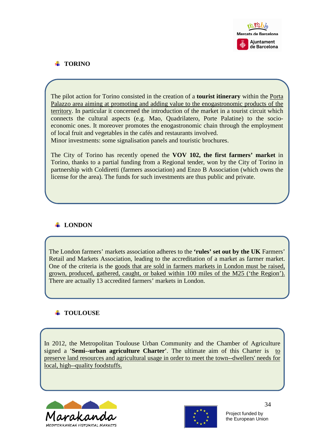

# **TORINO**

The pilot action for Torino consisted in the creation of a **tourist itinerary** within the Porta Palazzo area aiming at promoting and adding value to the enogastronomic products of the territory. In particular it concerned the introduction of the market in a tourist circuit which connects the cultural aspects (e.g. Mao, Quadrilatero, Porte Palatine) to the socioeconomic ones. It moreover promotes the enogastronomic chain through the employment of local fruit and vegetables in the cafés and restaurants involved. Minor investments: some signalisation panels and touristic brochures.

The City of Torino has recently opened the **VOV 102, the first farmers' market** in Torino, thanks to a partial funding from a Regional tender, won by the City of Torino in partnership with Coldiretti (farmers association) and Enzo B Association (which owns the license for the area). The funds for such investments are thus public and private.

# **LONDON**

The London farmers' markets association adheres to the **'rules' set out by the UK** Farmers' Retail and Markets Association, leading to the accreditation of a market as farmer market. One of the criteria is the goods that are sold in farmers markets in London must be raised, grown, produced, gathered, caught, or baked within 100 miles of the M25 ('the Region'). There are actually 13 accredited farmers' markets in London.

# **TOULOUSE**

In 2012, the Metropolitan Toulouse Urban Community and the Chamber of Agriculture signed a **'Semi--urban agriculture Charter'**. The ultimate aim of this Charter is to preserve land resources and agricultural usage in order to meet the town--dwellers' needs for local, high--quality foodstuffs.